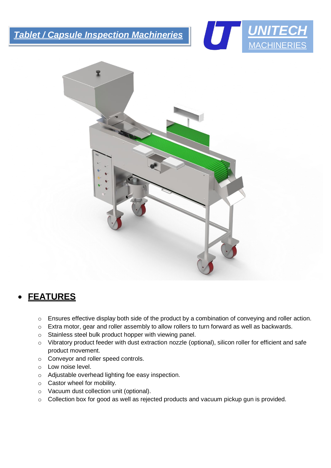*Tablet / Capsule Inspection Machineries*





## • **FEATURES**

j

- o Ensures effective display both side of the product by a combination of conveying and roller action.
- o Extra motor, gear and roller assembly to allow rollers to turn forward as well as backwards.
- o Stainless steel bulk product hopper with viewing panel.
- o Vibratory product feeder with dust extraction nozzle (optional), silicon roller for efficient and safe product movement.
- o Conveyor and roller speed controls.
- o Low noise level.
- o Adjustable overhead lighting foe easy inspection.
- o Castor wheel for mobility.
- o Vacuum dust collection unit (optional).
- o Collection box for good as well as rejected products and vacuum pickup gun is provided.